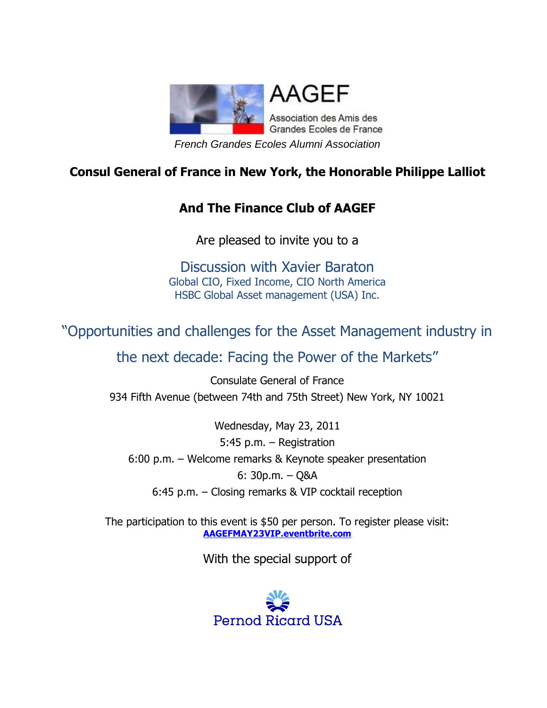

#### **Consul General of France in New York, the Honorable Philippe Lalliot**

#### **And The Finance Club of AAGEF**

Are pleased to invite you to a

Discussion with Xavier Baraton Global CIO, Fixed Income, CIO North America HSBC Global Asset management (USA) Inc.

# "Opportunities and challenges for the Asset Management industry in

## the next decade: Facing the Power of the Markets"

Consulate General of France 934 Fifth Avenue (between 74th and 75th Street) New York, NY 10021

Wednesday, May 23, 2011 5:45 p.m. – Registration 6:00 p.m. – Welcome remarks & Keynote speaker presentation 6: 30p.m. – Q&A 6:45 p.m. – Closing remarks & VIP cocktail reception

The participation to this event is \$50 per person. To register please visit: **[AAGEFMAY23VIP.eventbrite.com](http://aagefmay23vip.eventbrite.com/)**

With the special support of

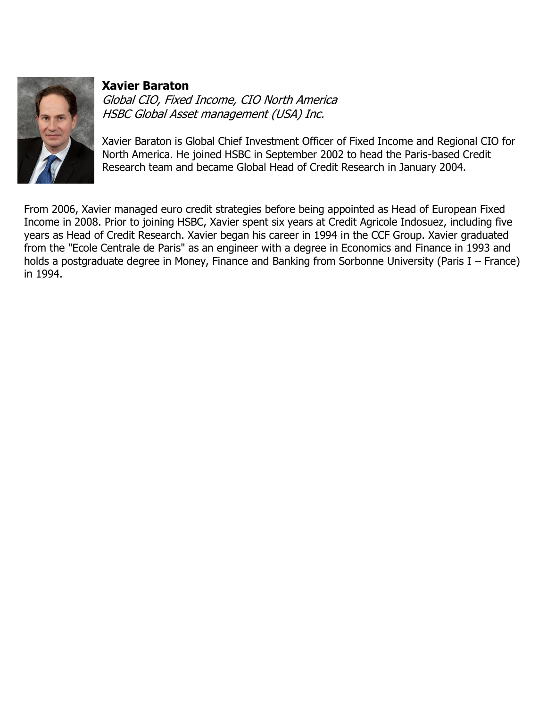

#### **Xavier Baraton**

Global CIO, Fixed Income, CIO North America HSBC Global Asset management (USA) Inc.

Xavier Baraton is Global Chief Investment Officer of Fixed Income and Regional CIO for North America. He joined HSBC in September 2002 to head the Paris-based Credit Research team and became Global Head of Credit Research in January 2004.

From 2006, Xavier managed euro credit strategies before being appointed as Head of European Fixed Income in 2008. Prior to joining HSBC, Xavier spent six years at Credit Agricole Indosuez, including five years as Head of Credit Research. Xavier began his career in 1994 in the CCF Group. Xavier graduated from the "Ecole Centrale de Paris" as an engineer with a degree in Economics and Finance in 1993 and holds a postgraduate degree in Money, Finance and Banking from Sorbonne University (Paris I – France) in 1994.